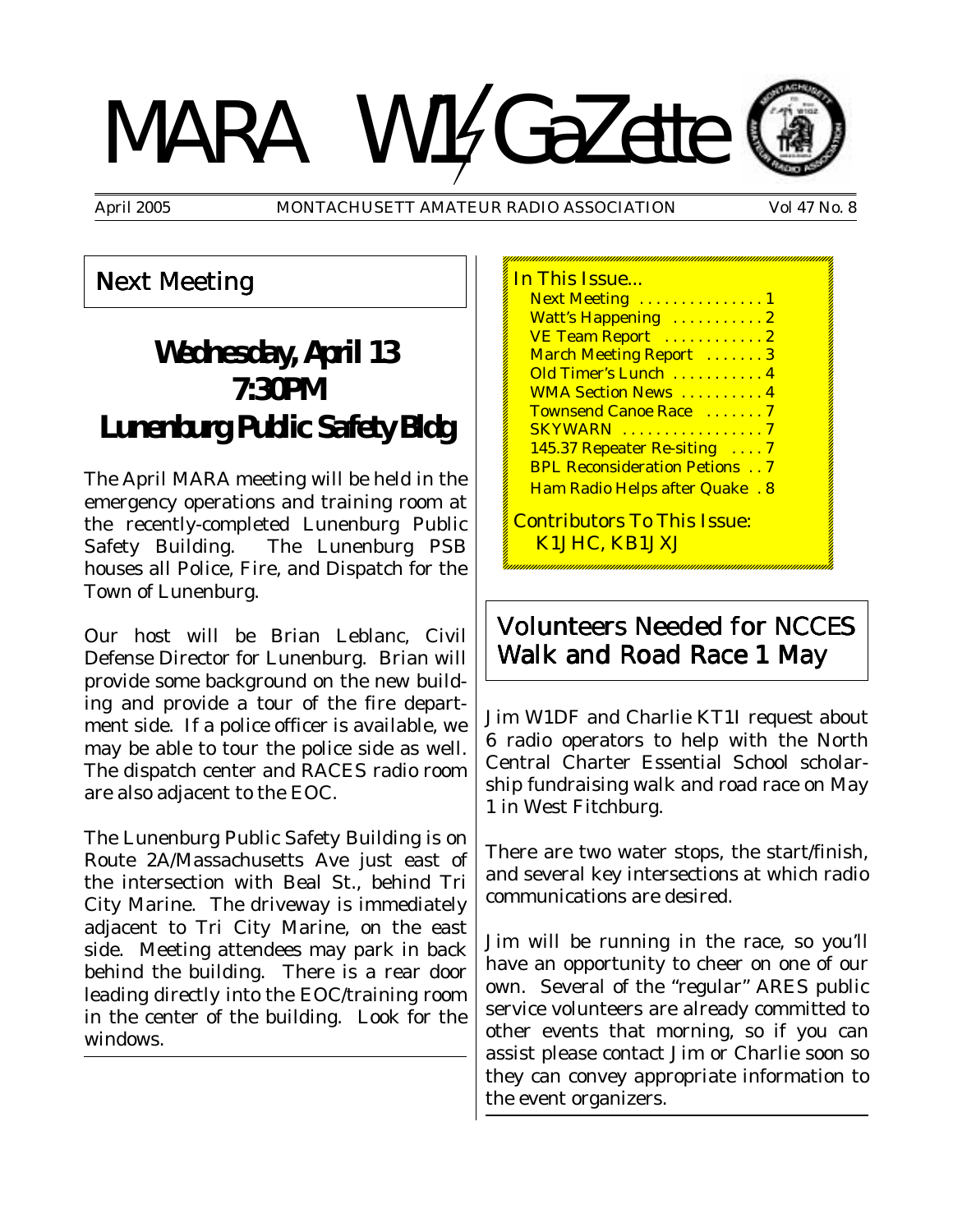# MARA W14GaZette



April 2005 MONTACHUSETT AMATEUR RADIO ASSOCIATION Vol 47 No. 8

### Next Meeting

# **Wednesday, April 13 7:30PM Lunenburg Public Safety Bldg**

The April MARA meeting will be held in the emergency operations and training room at the recently-completed Lunenburg Public Safety Building. The Lunenburg PSB houses all Police, Fire, and Dispatch for the Town of Lunenburg.

Our host will be Brian Leblanc, Civil Defense Director for Lunenburg. Brian will provide some background on the new building and provide a tour of the fire department side. If a police officer is available, we may be able to tour the police side as well. The dispatch center and RACES radio room are also adjacent to the EOC.

The Lunenburg Public Safety Building is on Route 2A/Massachusetts Ave just east of the intersection with Beal St., behind Tri City Marine. The driveway is immediately adjacent to Tri City Marine, on the east side. Meeting attendees may park in back behind the building. There is a rear door leading directly into the EOC/training room in the center of the building. Look for the windows.

| ,,,,,,,,,,,,,,,,                      |
|---------------------------------------|
| In This Issue                         |
| Next Meeting  1                       |
| Watt's Happening  2                   |
| VE Team Report  2                     |
| March Meeting Report  3               |
| Old Timer's Lunch  4                  |
| <b>WMA Section News  4</b>            |
| Townsend Canoe Race 7                 |
| <b>SKYWARN</b> 7                      |
| 145.37 Repeater Re-siting 7           |
| <b>BPL Reconsideration Petions 7</b>  |
| <b>Ham Radio Helps after Quake. 8</b> |
| <b>Contributors To This Issue:</b>    |
|                                       |

K1JHC, KB1JXJ

Volunteers Needed for NCCES Walk and Road Race 1 May

Jim W1DF and Charlie KT1I request about 6 radio operators to help with the North Central Charter Essential School scholarship fundraising walk and road race on May 1 in West Fitchburg.

There are two water stops, the start/finish, and several key intersections at which radio communications are desired.

Jim will be running in the race, so you'll have an opportunity to cheer on one of our own. Several of the "regular" ARES public service volunteers are already committed to other events that morning, so if you can assist please contact Jim or Charlie soon so they can convey appropriate information to the event organizers.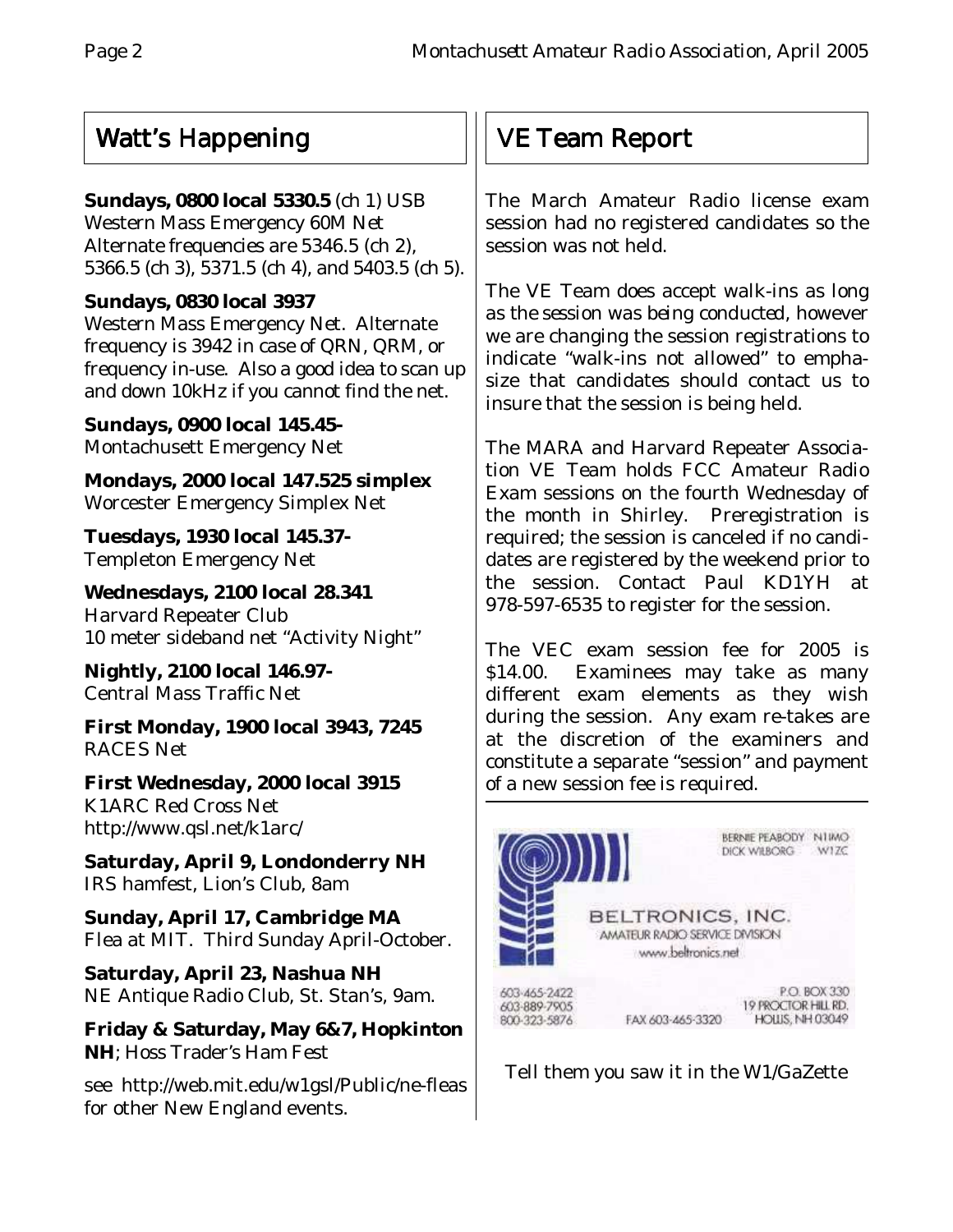## Watt's Happening

#### **Sundays, 0800 local 5330.5** (ch 1) USB

Western Mass Emergency 60M Net Alternate frequencies are 5346.5 (ch 2), 5366.5 (ch 3), 5371.5 (ch 4), and 5403.5 (ch 5).

#### **Sundays, 0830 local 3937**

Western Mass Emergency Net. Alternate frequency is 3942 in case of QRN, QRM, or frequency in-use. Also a good idea to scan up and down 10kHz if you cannot find the net.

**Sundays, 0900 local 145.45-** Montachusett Emergency Net

**Mondays, 2000 local 147.525 simplex** Worcester Emergency Simplex Net

**Tuesdays, 1930 local 145.37-** Templeton Emergency Net

**Wednesdays, 2100 local 28.341** Harvard Repeater Club 10 meter sideband net "Activity Night"

**Nightly, 2100 local 146.97-** Central Mass Traffic Net

**First Monday, 1900 local 3943, 7245** RACES Net

**First Wednesday, 2000 local 3915** K1ARC Red Cross Net http://www.qsl.net/k1arc/

**Saturday, April 9, Londonderry NH** IRS hamfest, Lion's Club, 8am

**Sunday, April 17, Cambridge MA** Flea at MIT. Third Sunday April-October.

**Saturday, April 23, Nashua NH** NE Antique Radio Club, St. Stan's, 9am.

**Friday & Saturday, May 6&7, Hopkinton NH**; Hoss Trader's Ham Fest

see http://web.mit.edu/w1gsl/Public/ne-fleas for other New England events.

# VE Team Report

The March Amateur Radio license exam session had no registered candidates so the session was not held.

The VE Team does accept walk-ins *as long as the session was being conducted,* however we are changing the session registrations to indicate "walk-ins not allowed" to emphasize that candidates should contact us to insure that the session is being held.

The MARA and Harvard Repeater Association VE Team holds FCC Amateur Radio Exam sessions on the fourth Wednesday of the month in Shirley. Preregistration is required; the session is canceled if no candidates are registered by the weekend prior to the session. Contact Paul KD1YH at 978-597-6535 to register for the session.

The VEC exam session fee for 2005 is \$14.00. Examinees may take as many different exam elements as they wish during the session. Any exam re-takes are at the discretion of the examiners and constitute a separate "session" and payment of a new session fee is required.



Tell them you saw it in the W1/GaZette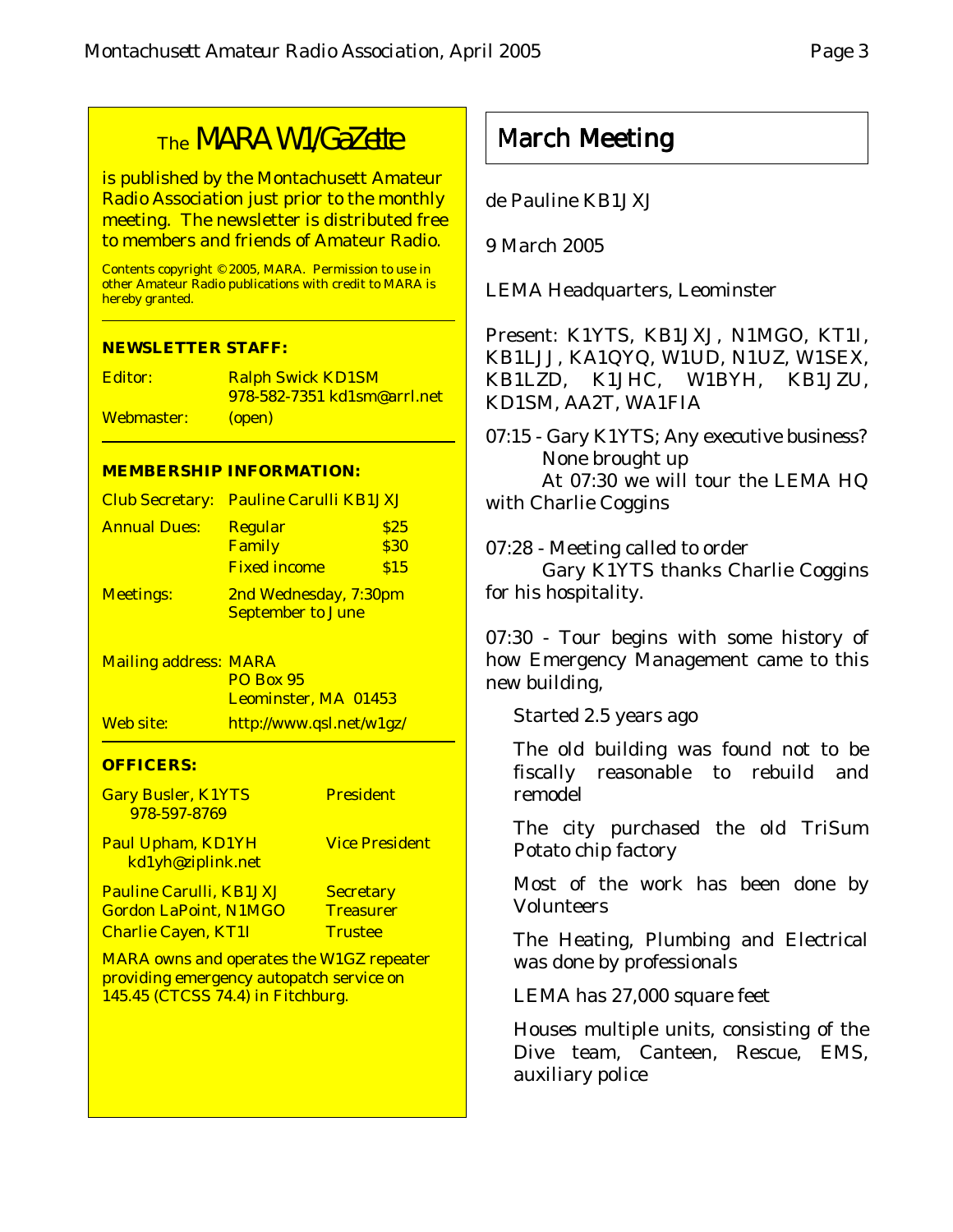# The MARA W1/GaZette

is published by the Montachusett Amateur Radio Association just prior to the monthly meeting. The newsletter is distributed free to members and friends of Amateur Radio.

Contents copyright © 2005, MARA. Permission to use in other Amateur Radio publications with credit to MARA is hereby granted.

#### **NEWSLETTER STAFF:**

Editor: Ralph Swick KD1SM 978-582-7351 kd1sm@arrl.net Webmaster: (open)

#### **MEMBERSHIP INFORMATION:**

| <b>Club Secretary:</b>       | <b>Pauline Carulli KB1JXJ</b>                     |              |
|------------------------------|---------------------------------------------------|--------------|
| <b>Annual Dues:</b>          | <b>Regular</b><br>Family                          | \$25<br>\$30 |
|                              | <b>Fixed income</b>                               | \$15         |
| <b>Meetings:</b>             | 2nd Wednesday, 7:30pm<br><b>September to June</b> |              |
| <b>Mailing address: MARA</b> |                                                   |              |

|                  | <b>PO Box 95</b>            |
|------------------|-----------------------------|
|                  | <b>Leominster, MA 01453</b> |
| <u>Web site:</u> | http://www.qsl.net/w1gz/    |

#### **OFFICERS:**

| <b>Gary Busler, K1YTS</b><br>978-597-8769       | <b>President</b>      |
|-------------------------------------------------|-----------------------|
| <b>Paul Upham, KD1YH</b><br>kd1yh@ziplink.net   | <b>Vice President</b> |
| <b>Pauline Carulli, KB1JXJ</b>                  | <b>Secretary</b>      |
| <b>Gordon LaPoint, N1MGO</b>                    | <b>Treasurer</b>      |
| <b>Charlie Cayen, KT1I</b>                      | <b>Trustee</b>        |
| <b>MARA owns and operates the W1GZ repeater</b> |                       |

providing emergency autopatch service on 145.45 (CTCSS 74.4) in Fitchburg.

## March Meeting

de Pauline KB1JXJ

9 March 2005

LEMA Headquarters, Leominster

Present: K1YTS, KB1JXJ, N1MGO, KT1I, KB1LJJ, KA1QYQ, W1UD, N1UZ, W1SEX, KB1LZD, K1JHC, W1BYH, KB1JZU, KD1SM, AA2T, WA1FIA

07:15 - Gary K1YTS; Any executive business? None brought up At 07:30 we will tour the LEMA HQ with Charlie Coggins

07:28 - Meeting called to order

Gary K1YTS thanks Charlie Coggins for his hospitality.

07:30 - Tour begins with some history of how Emergency Management came to this new building,

Started 2.5 years ago

The old building was found not to be fiscally reasonable to rebuild and remodel

The city purchased the old TriSum Potato chip factory

Most of the work has been done by Volunteers

The Heating, Plumbing and Electrical was done by professionals

LEMA has 27,000 square feet

Houses multiple units, consisting of the Dive team, Canteen, Rescue, EMS, auxiliary police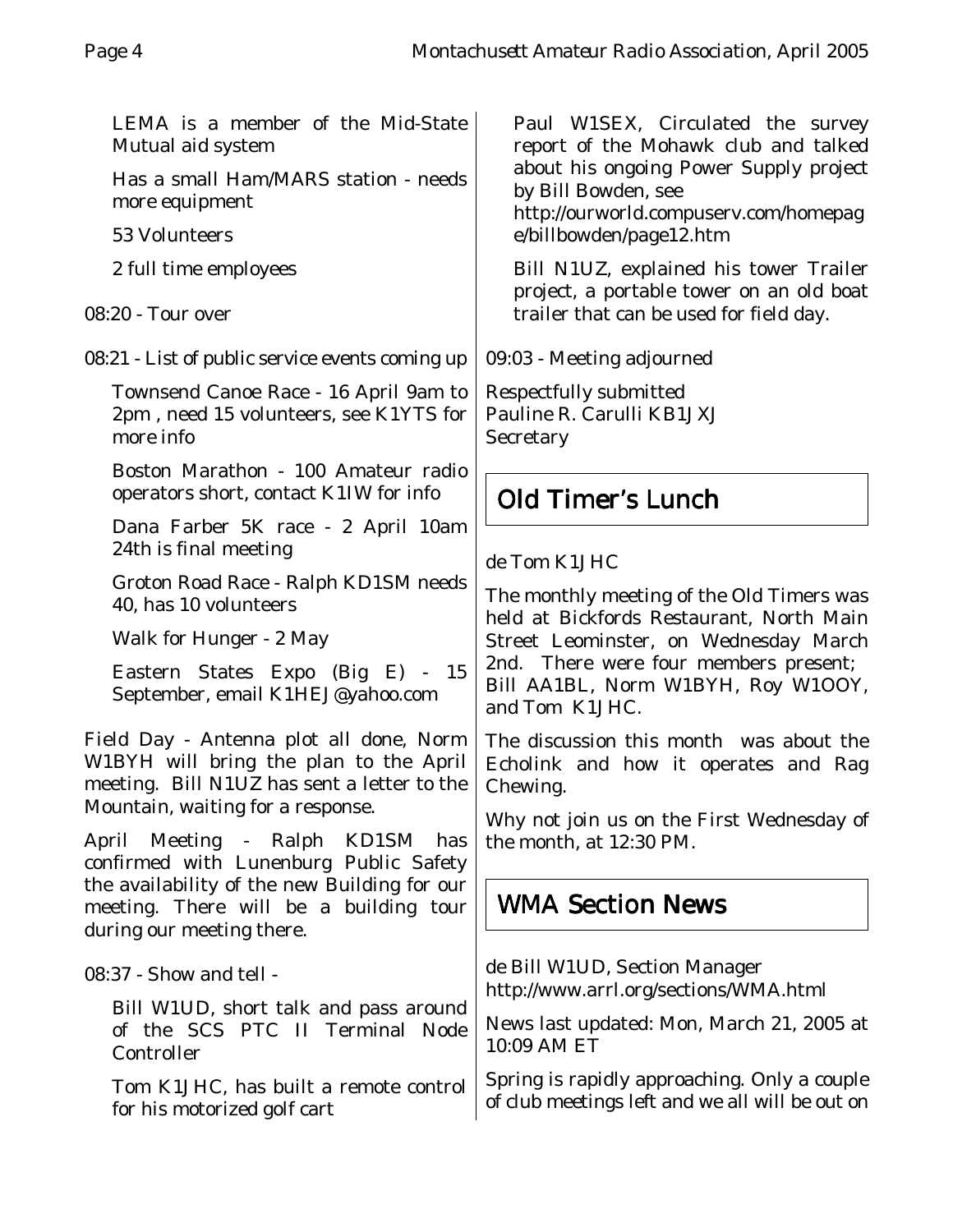LEMA is a member of the Mid-State Mutual aid system

Has a small Ham/MARS station - needs more equipment

53 Volunteers

2 full time employees

08:20 - Tour over

08:21 - List of public service events coming up

Townsend Canoe Race - 16 April 9am to 2pm , need 15 volunteers, see K1YTS for more info

Boston Marathon - 100 Amateur radio operators short, contact K1IW for info

Dana Farber 5K race - 2 April 10am 24th is final meeting

Groton Road Race - Ralph KD1SM needs 40, has 10 volunteers

Walk for Hunger - 2 May

Eastern States Expo (Big E) - 15 September, email K1HEJ@yahoo.com

Field Day - Antenna plot all done, Norm W1BYH will bring the plan to the April meeting. Bill N1UZ has sent a letter to the Mountain, waiting for a response.

April Meeting - Ralph KD1SM has confirmed with Lunenburg Public Safety the availability of the new Building for our meeting. There will be a building tour during our meeting there.

08:37 - Show and tell -

Bill W1UD, short talk and pass around of the SCS PTC II Terminal Node Controller

Tom K1JHC, has built a remote control for his motorized golf cart

Paul W1SEX, Circulated the survey report of the Mohawk club and talked about his ongoing Power Supply project by Bill Bowden, see

http://ourworld.compuserv.com/homepag e/billbowden/page12.htm

Bill N1UZ, explained his tower Trailer project, a portable tower on an old boat trailer that can be used for field day.

09:03 - Meeting adjourned

Respectfully submitted Pauline R. Carulli KB1JXJ **Secretary** 

## Old Timer's Lunch

#### de Tom K1JHC

The monthly meeting of the Old Timers was held at Bickfords Restaurant, North Main Street Leominster, on Wednesday March 2nd. There were four members present; Bill AA1BL, Norm W1BYH, Roy W1OOY, and Tom K1JHC.

The discussion this month was about the Echolink and how it operates and Rag Chewing.

Why not join us on the First Wednesday of the month, at 12:30 PM.

## WMA Section News

de Bill W1UD, Section Manager http://www.arrl.org/sections/WMA.html

News last updated: Mon, March 21, 2005 at 10:09 AM ET

Spring is rapidly approaching. Only a couple of club meetings left and we all will be out on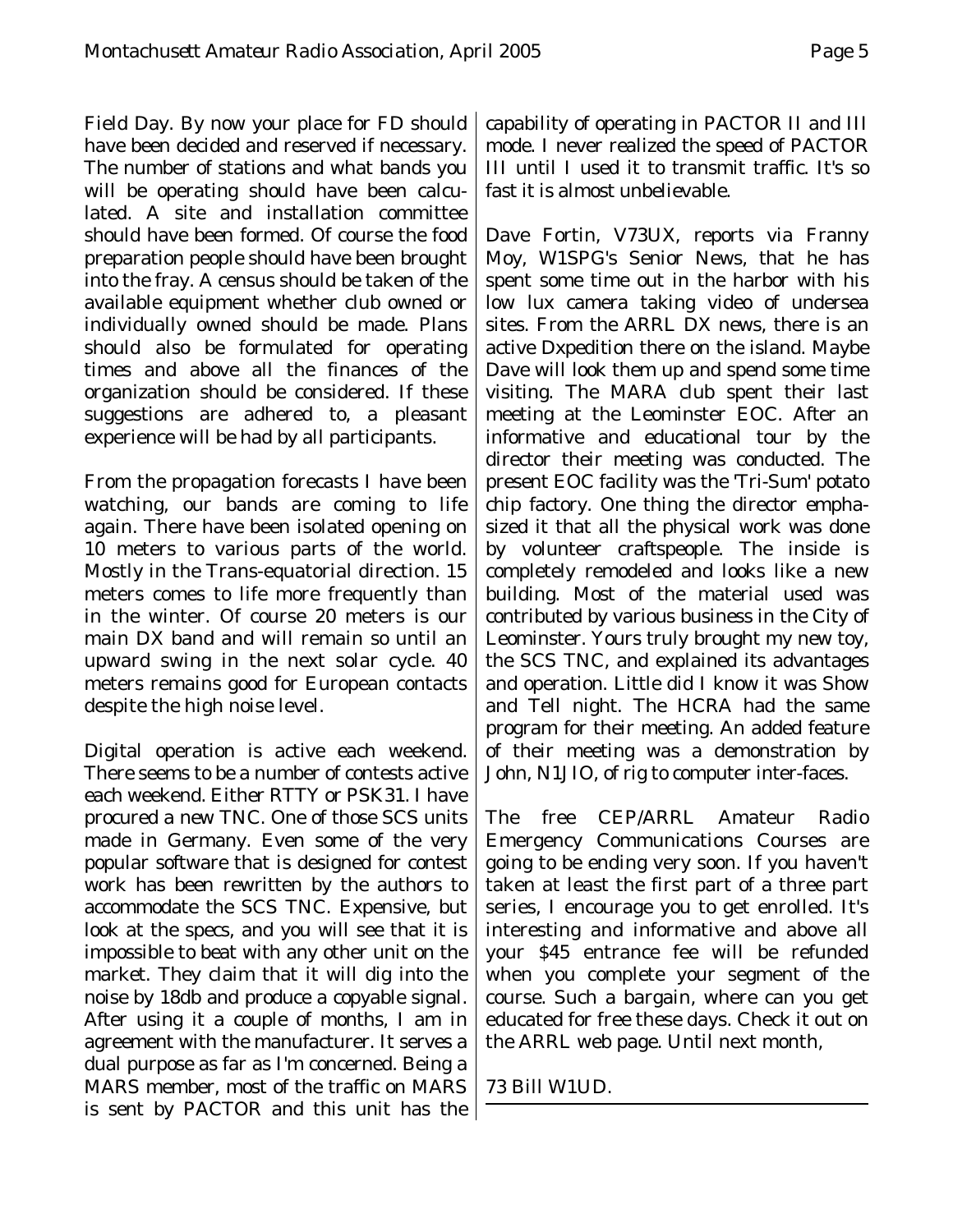Field Day. By now your place for FD should have been decided and reserved if necessary. The number of stations and what bands you will be operating should have been calculated. A site and installation committee should have been formed. Of course the food preparation people should have been brought into the fray. A census should be taken of the available equipment whether club owned or individually owned should be made. Plans should also be formulated for operating times and above all the finances of the organization should be considered. If these suggestions are adhered to, a pleasant experience will be had by all participants.

From the propagation forecasts I have been watching, our bands are coming to life again. There have been isolated opening on 10 meters to various parts of the world. Mostly in the Trans-equatorial direction. 15 meters comes to life more frequently than in the winter. Of course 20 meters is our main DX band and will remain so until an upward swing in the next solar cycle. 40 meters remains good for European contacts despite the high noise level.

Digital operation is active each weekend. There seems to be a number of contests active each weekend. Either RTTY or PSK31. I have procured a new TNC. One of those SCS units made in Germany. Even some of the very popular software that is designed for contest work has been rewritten by the authors to accommodate the SCS TNC. Expensive, but look at the specs, and you will see that it is impossible to beat with any other unit on the market. They claim that it will dig into the noise by 18db and produce a copyable signal. After using it a couple of months, I am in agreement with the manufacturer. It serves a dual purpose as far as I'm concerned. Being a MARS member, most of the traffic on MARS is sent by PACTOR and this unit has the

capability of operating in PACTOR II and III mode. I never realized the speed of PACTOR III until I used it to transmit traffic. It's so fast it is almost unbelievable.

Dave Fortin, V73UX, reports via Franny Moy, W1SPG's Senior News, that he has spent some time out in the harbor with his low lux camera taking video of undersea sites. From the ARRL DX news, there is an active Dxpedition there on the island. Maybe Dave will look them up and spend some time visiting. The MARA club spent their last meeting at the Leominster EOC. After an informative and educational tour by the director their meeting was conducted. The present EOC facility was the 'Tri-Sum' potato chip factory. One thing the director emphasized it that all the physical work was done by volunteer craftspeople. The inside is completely remodeled and looks like a new building. Most of the material used was contributed by various business in the City of Leominster. Yours truly brought my new toy, the SCS TNC, and explained its advantages and operation. Little did I know it was Show and Tell night. The HCRA had the same program for their meeting. An added feature of their meeting was a demonstration by John, N1JIO, of rig to computer inter-faces.

The free CEP/ARRL Amateur Radio Emergency Communications Courses are going to be ending very soon. If you haven't taken at least the first part of a three part series, I encourage you to get enrolled. It's interesting and informative and above all your \$45 entrance fee will be refunded when you complete your segment of the course. Such a bargain, where can you get educated for free these days. Check it out on the ARRL web page. Until next month,

#### 73 Bill W1UD.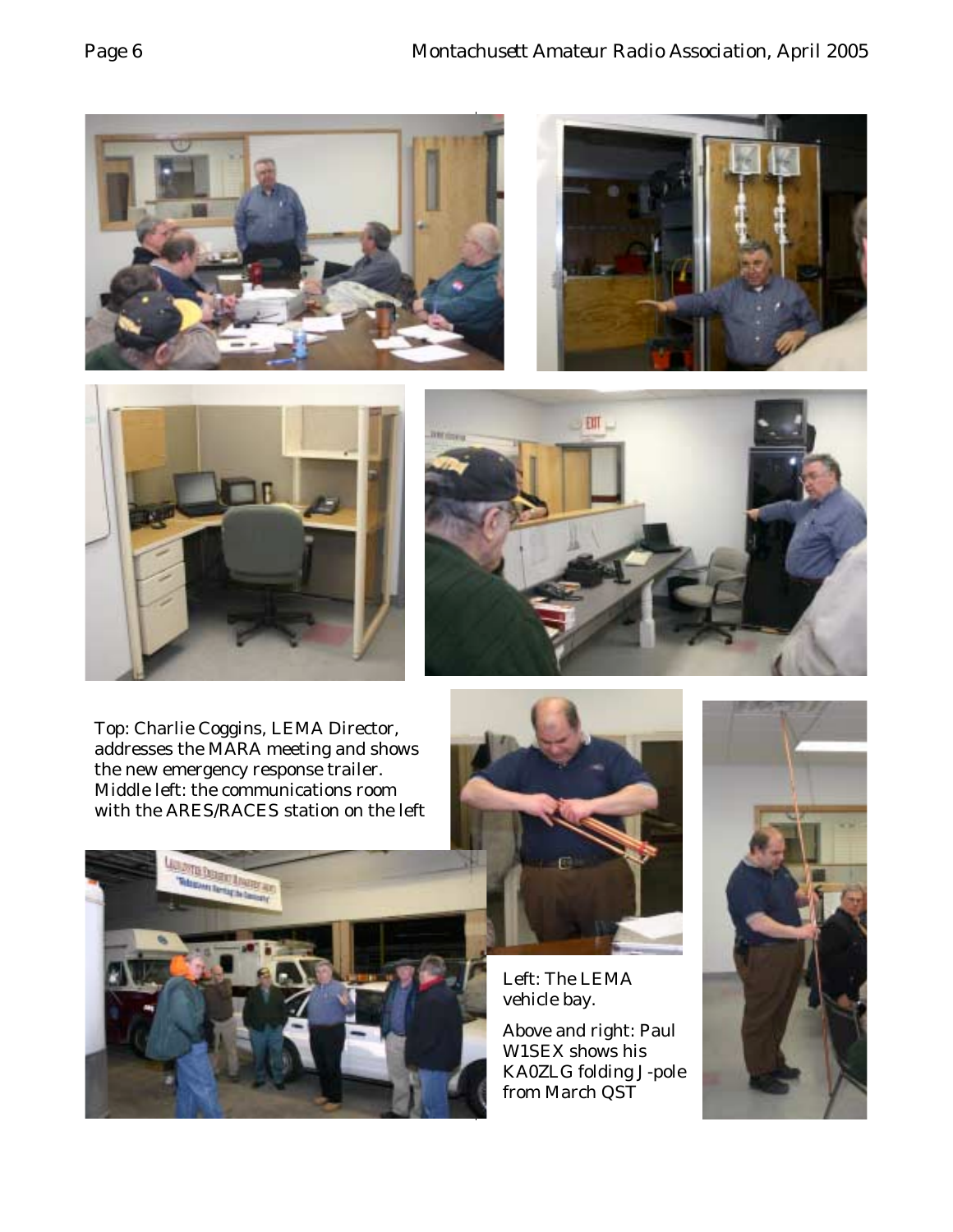

Top: Charlie Coggins, LEMA Director, addresses the MARA meeting and shows the new emergency response trailer. Middle left: the communications room with the ARES/RACES station on the left





Left: The LEMA vehicle bay.

Above and right: Paul W1SEX shows his KA0ZLG folding J-pole from March QST

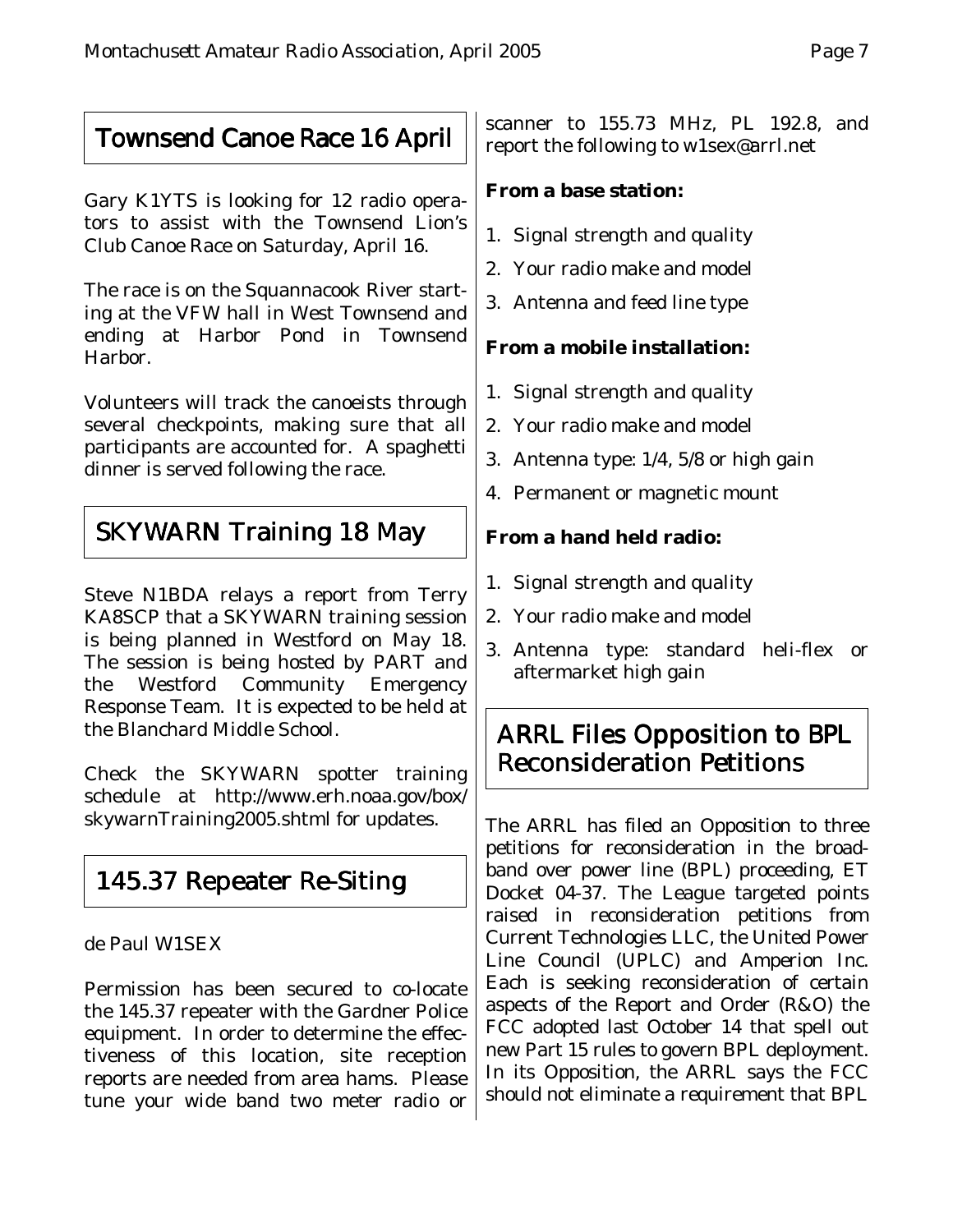## Townsend Canoe Race 16 April

Gary K1YTS is looking for 12 radio operators to assist with the Townsend Lion's Club Canoe Race on Saturday, April 16.

The race is on the Squannacook River starting at the VFW hall in West Townsend and ending at Harbor Pond in Townsend Harbor.

Volunteers will track the canoeists through several checkpoints, making sure that all participants are accounted for. A spaghetti dinner is served following the race.

## SKYWARN Training 18 May

Steve N1BDA relays a report from Terry KA8SCP that a SKYWARN training session is being planned in Westford on May 18. The session is being hosted by PART and the Westford Community Emergency Response Team. It is expected to be held at the Blanchard Middle School.

Check the SKYWARN spotter training schedule at http://www.erh.noaa.gov/box/ skywarnTraining2005.shtml for updates.

# 145.37 Repeater Re-Siting

#### de Paul W1SEX

Permission has been secured to co-locate the 145.37 repeater with the Gardner Police equipment. In order to determine the effectiveness of this location, site reception reports are needed from area hams. Please tune your wide band two meter radio or

scanner to 155.73 MHz, PL 192.8, and report the following to w1sex@arrl.net

#### **From a base station:**

- 1. Signal strength and quality
- 2. Your radio make and model
- 3. Antenna and feed line type

#### **From a mobile installation:**

- 1. Signal strength and quality
- 2. Your radio make and model
- 3. Antenna type: 1/4, 5/8 or high gain
- 4. Permanent or magnetic mount

#### **From a hand held radio:**

- 1. Signal strength and quality
- 2. Your radio make and model
- 3. Antenna type: standard heli-flex or aftermarket high gain

## ARRL Files Opposition to BPL Reconsideration Petitions

The ARRL has filed an Opposition to three petitions for reconsideration in the broadband over power line (BPL) proceeding, ET Docket 04-37. The League targeted points raised in reconsideration petitions from Current Technologies LLC, the United Power Line Council (UPLC) and Amperion Inc. Each is seeking reconsideration of certain aspects of the Report and Order (R&O) the FCC adopted last October 14 that spell out new Part 15 rules to govern BPL deployment. In its Opposition, the ARRL says the FCC should not eliminate a requirement that BPL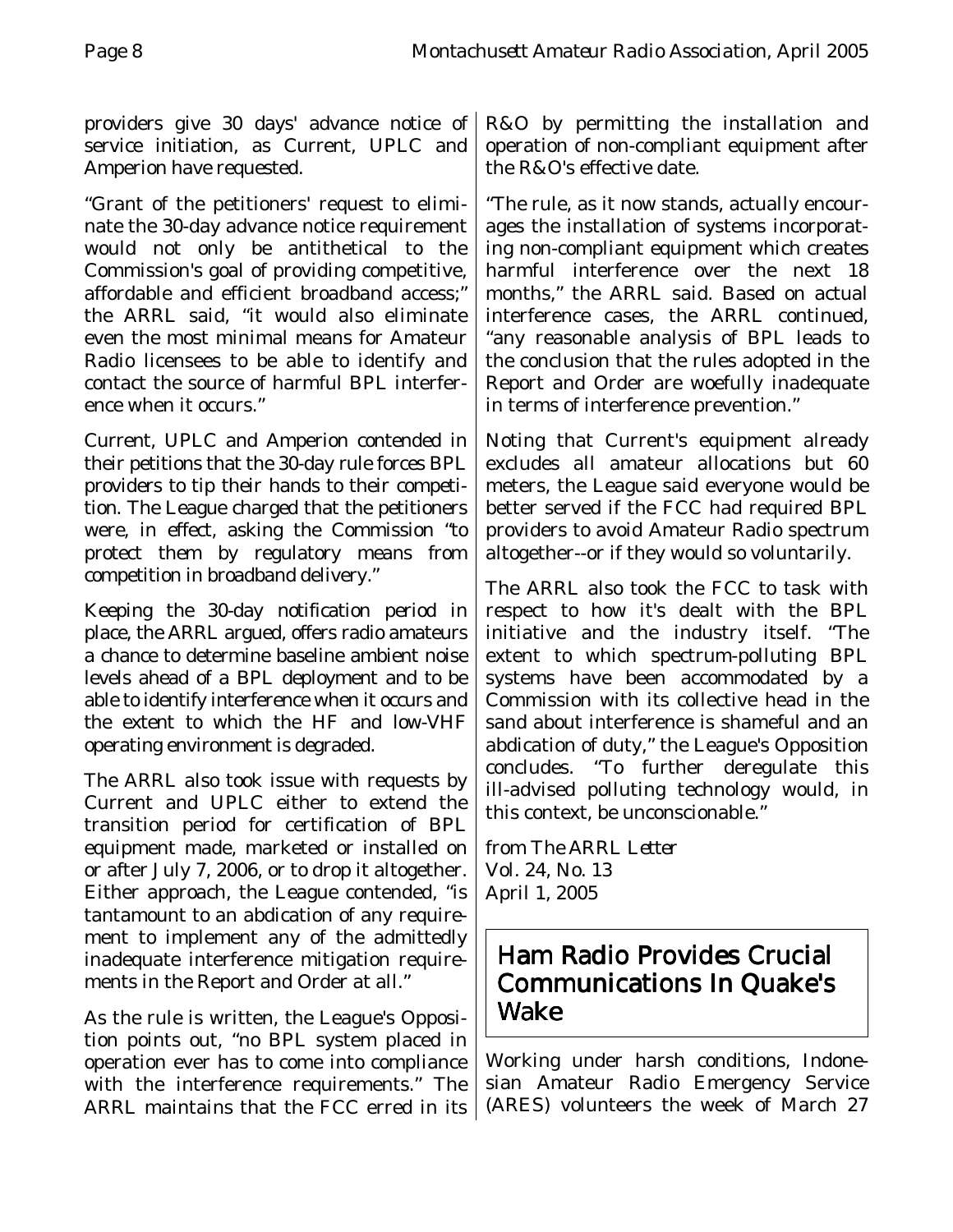providers give 30 days' advance notice of service initiation, as Current, UPLC and Amperion have requested.

"Grant of the petitioners' request to eliminate the 30-day advance notice requirement would not only be antithetical to the Commission's goal of providing competitive, affordable and efficient broadband access;" the ARRL said, "it would also eliminate even the most minimal means for Amateur Radio licensees to be able to identify and contact the source of harmful BPL interference when it occurs."

Current, UPLC and Amperion contended in their petitions that the 30-day rule forces BPL providers to tip their hands to their competition. The League charged that the petitioners were, in effect, asking the Commission "to protect them by regulatory means from competition in broadband delivery."

Keeping the 30-day notification period in place, the ARRL argued, offers radio amateurs a chance to determine baseline ambient noise levels ahead of a BPL deployment and to be able to identify interference when it occurs and the extent to which the HF and low-VHF operating environment is degraded.

The ARRL also took issue with requests by Current and UPLC either to extend the transition period for certification of BPL equipment made, marketed or installed on or after July 7, 2006, or to drop it altogether. Either approach, the League contended, "is tantamount to an abdication of any requirement to implement any of the admittedly inadequate interference mitigation requirements in the Report and Order at all."

As the rule is written, the League's Opposition points out, "no BPL system placed in operation ever has to come into compliance with the interference requirements." The ARRL maintains that the FCC erred in its R&O by permitting the installation and operation of non-compliant equipment after the R&O's effective date.

"The rule, as it now stands, actually encourages the installation of systems incorporating non-compliant equipment which creates harmful interference over the next 18 months," the ARRL said. Based on actual interference cases, the ARRL continued, "any reasonable analysis of BPL leads to the conclusion that the rules adopted in the Report and Order are woefully inadequate in terms of interference prevention."

Noting that Current's equipment already excludes all amateur allocations but 60 meters, the League said everyone would be better served if the FCC had required BPL providers to avoid Amateur Radio spectrum altogether--or if they would so voluntarily.

The ARRL also took the FCC to task with respect to how it's dealt with the BPL initiative and the industry itself. "The extent to which spectrum-polluting BPL systems have been accommodated by a Commission with its collective head in the sand about interference is shameful and an abdication of duty," the League's Opposition concludes. "To further deregulate this ill-advised polluting technology would, in this context, be unconscionable."

from *The ARRL Letter* Vol. 24, No. 13 April 1, 2005

### Ham Radio Provides Crucial Communications In Quake's Wake

Working under harsh conditions, Indonesian Amateur Radio Emergency Service (ARES) volunteers the week of March 27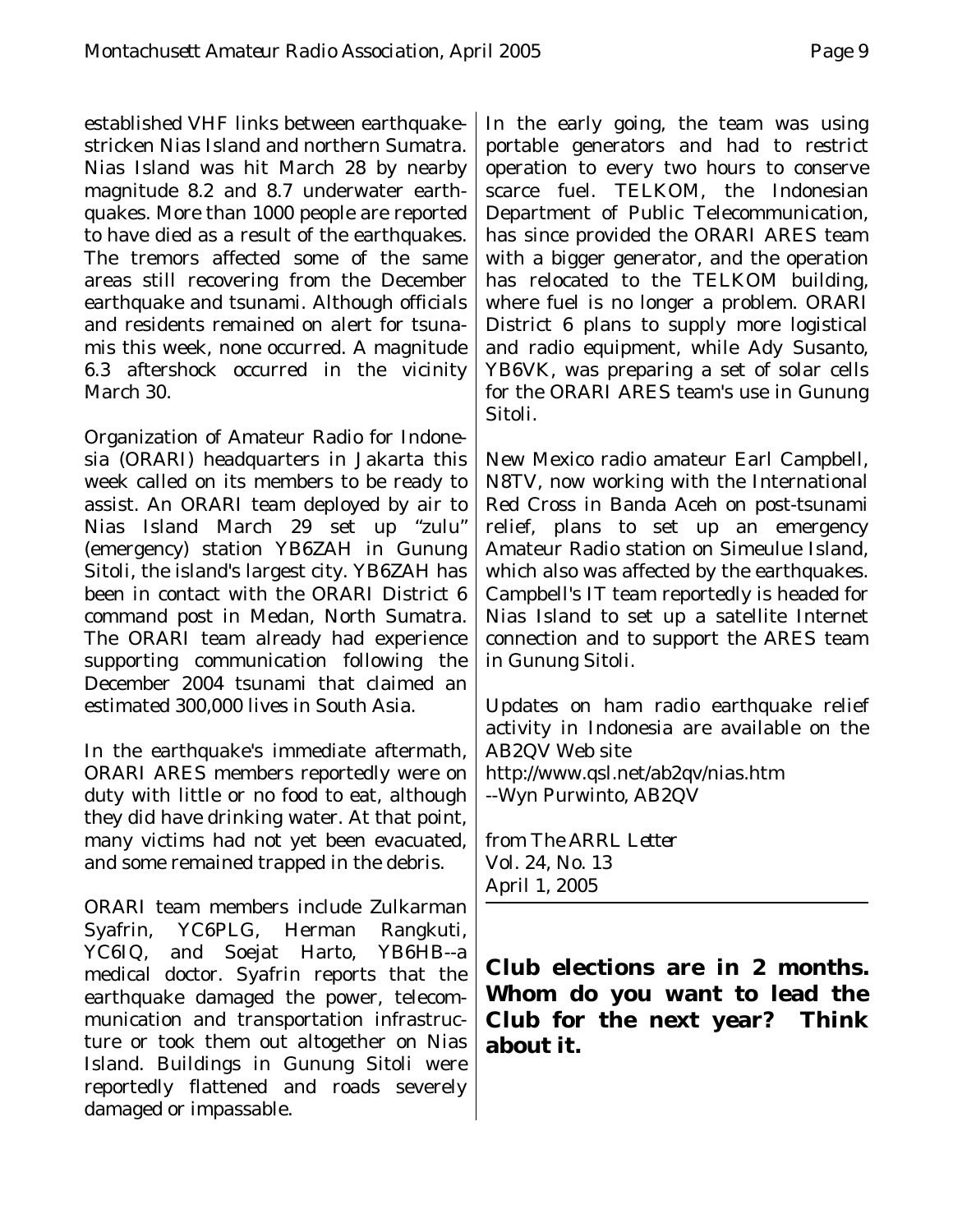established VHF links between earthquakestricken Nias Island and northern Sumatra. Nias Island was hit March 28 by nearby magnitude 8.2 and 8.7 underwater earthquakes. More than 1000 people are reported to have died as a result of the earthquakes. The tremors affected some of the same areas still recovering from the December earthquake and tsunami. Although officials and residents remained on alert for tsunamis this week, none occurred. A magnitude 6.3 aftershock occurred in the vicinity March 30.

Organization of Amateur Radio for Indonesia (ORARI) headquarters in Jakarta this week called on its members to be ready to assist. An ORARI team deployed by air to Nias Island March 29 set up "zulu" (emergency) station YB6ZAH in Gunung Sitoli, the island's largest city. YB6ZAH has been in contact with the ORARI District 6 command post in Medan, North Sumatra. The ORARI team already had experience supporting communication following the December 2004 tsunami that claimed an estimated 300,000 lives in South Asia.

In the earthquake's immediate aftermath, ORARI ARES members reportedly were on duty with little or no food to eat, although they did have drinking water. At that point, many victims had not yet been evacuated, and some remained trapped in the debris.

ORARI team members include Zulkarman Syafrin, YC6PLG, Herman Rangkuti, YC6IQ, and Soejat Harto, YB6HB--a medical doctor. Syafrin reports that the earthquake damaged the power, telecommunication and transportation infrastructure or took them out altogether on Nias Island. Buildings in Gunung Sitoli were reportedly flattened and roads severely damaged or impassable.

In the early going, the team was using portable generators and had to restrict operation to every two hours to conserve scarce fuel. TELKOM, the Indonesian Department of Public Telecommunication, has since provided the ORARI ARES team with a bigger generator, and the operation has relocated to the TELKOM building, where fuel is no longer a problem. ORARI District 6 plans to supply more logistical and radio equipment, while Ady Susanto, YB6VK, was preparing a set of solar cells for the ORARI ARES team's use in Gunung Sitoli.

New Mexico radio amateur Earl Campbell, N8TV, now working with the International Red Cross in Banda Aceh on post-tsunami relief, plans to set up an emergency Amateur Radio station on Simeulue Island, which also was affected by the earthquakes. Campbell's IT team reportedly is headed for Nias Island to set up a satellite Internet connection and to support the ARES team in Gunung Sitoli.

Updates on ham radio earthquake relief activity in Indonesia are available on the AB2QV Web site http://www.qsl.net/ab2qv/nias.htm --Wyn Purwinto, AB2QV

from *The ARRL Letter* Vol. 24, No. 13 April 1, 2005

#### **Club elections are in 2 months. Whom do you want to lead the Club for the next year? Think about it.**